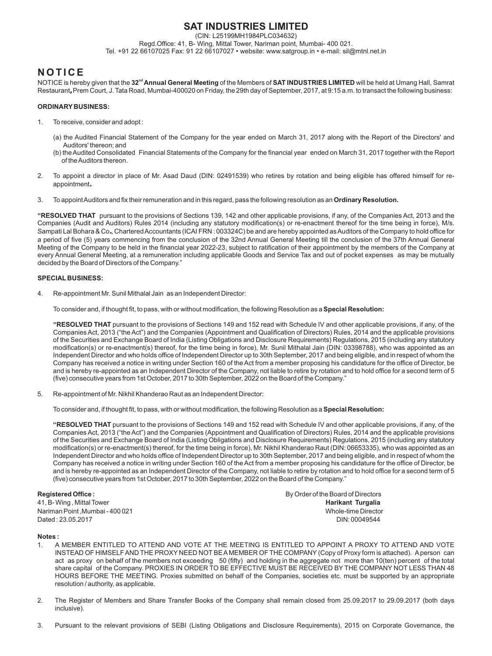# **SAT INDUSTRIES LIMITED**

(CIN: L25199MH1984PLC034632)

Regd.Office: 41, B- Wing, Mittal Tower, Nariman point, Mumbai- 400 021. Tel. +91 22 66107025 Fax: 91 22 66107027 • website: www.satgroup.in • e-mail: sil@mtnl.net.in

# **N O T I C E**

**nd** NOTICE is hereby given that the **32 Annual General Meeting** of the Members of **SAT INDUSTRIES LIMITED** will be held at Umang Hall, Samrat Restaurant**,**Prem Court, J. Tata Road, Mumbai-400020 on Friday, the 29th day of September, 2017, at 9:15 a.m. to transact the following business:

## **ORDINARY BUSINESS:**

- 1. To receive, consider and adopt :
	- (a) the Audited Financial Statement of the Company for the year ended on March 31, 2017 along with the Report of the Directors' and Auditors' thereon; and
	- (b) the Audited Consolidated Financial Statements of the Company for the financial year ended on March 31, 2017 together with the Report of the Auditors thereon.
- 2. To appoint a director in place of Mr. Asad Daud (DIN: 02491539) who retires by rotation and being eligible has offered himself for reappointment**.**
- 3. To appoint Auditors and fix their remuneration and in this regard, pass the following resolution as an **Ordinary Resolution.**

**"RESOLVED THAT** pursuant to the provisions of Sections 139, 142 and other applicable provisions, if any, of the Companies Act, 2013 and the Companies (Audit and Auditors) Rules 2014 (including any statutory modification(s) or re-enactment thereof for the time being in force), M/s. Sampati Lal Bohara & Co**.**, Chartered Accountants (ICAI FRN : 003324C) be and are hereby appointed as Auditors of the Company to hold office for a period of five (5) years commencing from the conclusion of the 32nd Annual General Meeting till the conclusion of the 37th Annual General Meeting of the Company to be held in the financial year 2022-23, subject to ratification of their appointment by the members of the Company at every Annual General Meeting, at a remuneration including applicable Goods and Service Tax and out of pocket expenses as may be mutually decided by the Board of Directors of the Company."

## **SPECIAL BUSINESS:**

4. Re-appointment Mr. Sunil Mithalal Jain as an Independent Director:

To consider and, if thought fit, to pass, with or without modification, the following Resolution as a **Special Resolution:**

**"RESOLVED THAT** pursuant to the provisions of Sections 149 and 152 read with Schedule IV and other applicable provisions, if any, of the Companies Act, 2013 ("the Act") and the Companies (Appointment and Qualification of Directors) Rules, 2014 and the applicable provisions of the Securities and Exchange Board of India (Listing Obligations and Disclosure Requirements) Regulations, 2015 (including any statutory modification(s) or re-enactment(s) thereof, for the time being in force), Mr. Sunil Mithalal Jain (DIN: 03398788), who was appointed as an Independent Director and who holds office of Independent Director up to 30th September, 2017 and being eligible, and in respect of whom the Company has received a notice in writing under Section 160 of the Act from a member proposing his candidature for the office of Director, be and is hereby re-appointed as an Independent Director of the Company, not liable to retire by rotation and to hold office for a second term of 5 (five) consecutive years from 1st October, 2017 to 30th September, 2022 on the Board of the Company."

5. Re-appointment of Mr. Nikhil Khanderao Raut as an Independent Director:

To consider and, if thought fit, to pass, with or without modification, the following Resolution as a **Special Resolution:**

**"RESOLVED THAT** pursuant to the provisions of Sections 149 and 152 read with Schedule IV and other applicable provisions, if any, of the Companies Act, 2013 ("the Act") and the Companies (Appointment and Qualification of Directors) Rules, 2014 and the applicable provisions of the Securities and Exchange Board of India (Listing Obligations and Disclosure Requirements) Regulations, 2015 (including any statutory modification(s) or re-enactment(s) thereof, for the time being in force), Mr. Nikhil Khanderao Raut (DIN: 06653335), who was appointed as an Independent Director and who holds office of Independent Director up to 30th September, 2017 and being eligible, and in respect of whom the Company has received a notice in writing under Section 160 of the Act from a member proposing his candidature for the office of Director, be and is hereby re-appointed as an Independent Director of the Company, not liable to retire by rotation and to hold office for a second term of 5 (five) consecutive years from 1st October, 2017 to 30th September, 2022 on the Board of the Company."

41, B- Wing , Mittal Tower **Harikant Turgalia** Nariman Point ,Mumbai - 400 021 Nariman Point ,Mumbai - 400 021 Dated : 23.05.2017 DIN: 00049544

**Registered Office : By Order of the Board of Directors** 

### **Notes :**

- 1. A MEMBER ENTITLED TO ATTEND AND VOTE AT THE MEETING IS ENTITLED TO APPOINT A PROXY TO ATTEND AND VOTE INSTEAD OF HIMSELF AND THE PROXY NEED NOT BE AMEMBER OF THE COMPANY (Copy of Proxy form is attached). Aperson can act as proxy on behalf of the members not exceeding 50 (fifty) and holding in the aggregate not more than 10(ten) percent of the total share capital of the Company. PROXIES IN ORDER TO BE EFFECTIVE MUST BE RECEIVED BY THE COMPANY NOT LESS THAN 48 HOURS BEFORE THE MEETING. Proxies submitted on behalf of the Companies, societies etc. must be supported by an appropriate resolution / authority, as applicable.
- 2. The Register of Members and Share Transfer Books of the Company shall remain closed from 25.09.2017 to 29.09.2017 (both days inclusive).
- 3. Pursuant to the relevant provisions of SEBI (Listing Obligations and Disclosure Requirements), 2015 on Corporate Governance, the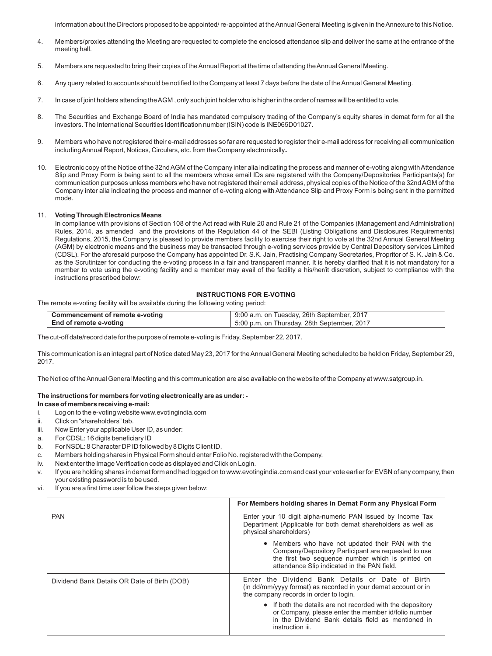information about the Directors proposed to be appointed/ re-appointed at the Annual General Meeting is given in the Annexure to this Notice.

- 4. Members/proxies attending the Meeting are requested to complete the enclosed attendance slip and deliver the same at the entrance of the meeting hall.
- 5. Members are requested to bring their copies of the Annual Report at the time of attending the Annual General Meeting.
- 6. Any query related to accounts should be notified to the Company at least 7 days before the date of the Annual General Meeting.
- 7. In case of joint holders attending the AGM , only such joint holder who is higher in the order of names will be entitled to vote.
- 8. The Securities and Exchange Board of India has mandated compulsory trading of the Company's equity shares in demat form for all the investors. The International Securities Identification number (ISIN) code is INE065D01027.
- 9. Members who have not registered their e-mail addresses so far are requested to register their e-mail address for receiving all communication including Annual Report, Notices, Circulars, etc. from the Company electronically**.**
- 10. Electronic copy of the Notice of the 32nd AGM of the Company inter alia indicating the process and manner of e-voting along with Attendance Slip and Proxy Form is being sent to all the members whose email IDs are registered with the Company/Depositories Participants(s) for communication purposes unless members who have not registered their email address, physical copies of the Notice of the 32nd AGM of the Company inter alia indicating the process and manner of e-voting along with Attendance Slip and Proxy Form is being sent in the permitted mode.

#### 11. **Voting Through Electronics Means**

In compliance with provisions of Section 108 of the Act read with Rule 20 and Rule 21 of the Companies (Management and Administration) Rules, 2014, as amended and the provisions of the Regulation 44 of the SEBI (Listing Obligations and Disclosures Requirements) Regulations, 2015, the Company is pleased to provide members facility to exercise their right to vote at the 32nd Annual General Meeting (AGM) by electronic means and the business may be transacted through e-voting services provide by Central Depository services Limited (CDSL). For the aforesaid purpose the Company has appointed Dr. S.K. Jain, Practising Company Secretaries, Propritor of S. K. Jain & Co. as the Scrutinizer for conducting the e-voting process in a fair and transparent manner. It is hereby clarified that it is not mandatory for a member to vote using the e-voting facility and a member may avail of the facility a his/her/it discretion, subject to compliance with the instructions prescribed below:

### **INSTRUCTIONS FOR E-VOTING**

The remote e-voting facility will be available during the following voting period:

| Commencement of remote e-voting | on Tuesday, 26th September, 2017<br>9:00 a.m.     |
|---------------------------------|---------------------------------------------------|
| End of remote e-voting          | 2017<br>5:00 p.m. on Thursday.<br>28th September. |

The cut-off date/record date for the purpose of remote e-voting is Friday, September 22, 2017.

This communication is an integral part of Notice dated May 23, 2017 for the Annual General Meeting scheduled to be held on Friday, September 29, 2017.

The Notice of the Annual General Meeting and this communication are also available on the website of the Company at www.satgroup.in.

# **The instructions for members for voting electronically are as under: -**

# **In case of members receiving e-mail:**

- i. Log on to the e-voting website www.evotingindia.com
- ii. Click on "shareholders" tab.
- iii. Now Enter your applicable User ID, as under:
- a. For CDSL: 16 digits beneficiary ID
- b. For NSDL: 8 Character DPID followed by 8 Digits Client ID,
- c. Members holding shares in Physical Form should enter Folio No. registered with the Company.
- iv. Next enter the Image Verification code as displayed and Click on Login.
- v. If you are holding shares in demat form and had logged on to www.evotingindia.com and cast your vote earlier for EVSN of any company, then your existing password is to be used.
- vi. If you are a first time user follow the steps given below:

|                                              | For Members holding shares in Demat Form any Physical Form                                                                                                                                                   |  |  |
|----------------------------------------------|--------------------------------------------------------------------------------------------------------------------------------------------------------------------------------------------------------------|--|--|
| <b>PAN</b>                                   | Enter your 10 digit alpha-numeric PAN issued by Income Tax<br>Department (Applicable for both demat shareholders as well as<br>physical shareholders)                                                        |  |  |
|                                              | • Members who have not updated their PAN with the<br>Company/Depository Participant are requested to use<br>the first two sequence number which is printed on<br>attendance Slip indicated in the PAN field. |  |  |
| Dividend Bank Details OR Date of Birth (DOB) | Enter the Dividend Bank Details or Date of Birth<br>(in dd/mm/yyyy format) as recorded in your demat account or in<br>the company records in order to login.                                                 |  |  |
|                                              | • If both the details are not recorded with the depository<br>or Company, please enter the member id/folio number<br>in the Dividend Bank details field as mentioned in<br>instruction iii.                  |  |  |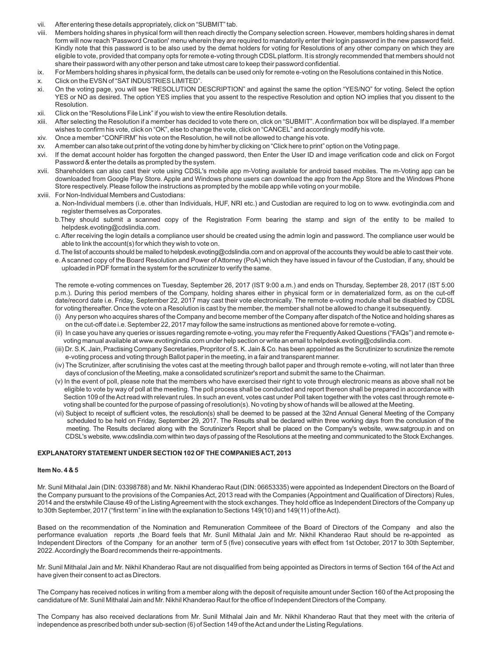- vii. After entering these details appropriately, click on "SUBMIT" tab.
- viii. Members holding shares in physical form will then reach directly the Company selection screen. However, members holding shares in demat form will now reach 'Password Creation' menu wherein they are required to mandatorily enter their login password in the new password field. Kindly note that this password is to be also used by the demat holders for voting for Resolutions of any other company on which they are eligible to vote, provided that company opts for remote e-voting through CDSL platform. It is strongly recommended that members should not share their password with any other person and take utmost care to keep their password confidential.
- ix. For Members holding shares in physical form, the details can be used only for remote e-voting on the Resolutions contained in this Notice.
- x. Click on the EVSN of "SATINDUSTRIES LIMITED".
- xi. On the voting page, you will see "RESOLUTION DESCRIPTION" and against the same the option "YES/NO" for voting. Select the option YES or NO as desired. The option YES implies that you assent to the respective Resolution and option NO implies that you dissent to the Resolution.
- xii. Click on the "Resolutions File Link" if you wish to view the entire Resolution details.
- xiii. After selecting the Resolution if a member has decided to vote there on, click on "SUBMIT". Aconfirmation box will be displayed. If a member wishes to confirm his vote, click on "OK", else to change the vote, click on "CANCEL" and accordingly modify his vote.
- xiv. Once a member "CONFIRM" his vote on the Resolution, he will not be allowed to change his vote.
- xv. Amember can also take out print of the voting done by him/her by clicking on "Click here to print" option on the Voting page.
- xvi. If the demat account holder has forgotten the changed password, then Enter the User ID and image verification code and click on Forgot Password & enter the details as prompted by the system.
- xvii. Shareholders can also cast their vote using CDSL's mobile app m-Voting available for android based mobiles. The m-Voting app can be downloaded from Google Play Store. Apple and Windows phone users can download the app from the App Store and the Windows Phone Store respectively. Please follow the instructions as prompted by the mobile app while voting on your mobile.
- xviii. For Non-Individual Members and Custodians:
	- a. Non-Individual members (i.e. other than Individuals, HUF, NRI etc.) and Custodian are required to log on to www. evotingindia.com and register themselves as Corporates.
	- b.They should submit a scanned copy of the Registration Form bearing the stamp and sign of the entity to be mailed to helpdesk.evoting@cdslindia.com.
	- c. After receiving the login details a compliance user should be created using the admin login and password. The compliance user would be able to link the account(s) for which they wish to vote on.
	- d. The list of accounts should be mailed to helpdesk.evoting@cdslindia.com and on approval of the accounts they would be able to cast their vote.
	- e. Ascanned copy of the Board Resolution and Power of Attorney (PoA) which they have issued in favour of the Custodian, if any, should be uploaded in PDF format in the system for the scrutinizer to verify the same.

The remote e-voting commences on Tuesday, September 26, 2017 (IST 9:00 a.m.) and ends on Thursday, September 28, 2017 (IST 5:00 p.m.). During this period members of the Company, holding shares either in physical form or in dematerialized form, as on the cut-off date/record date i.e. Friday, September 22, 2017 may cast their vote electronically. The remote e-voting module shall be disabled by CDSL for voting thereafter. Once the vote on a Resolution is cast by the member, the member shall not be allowed to change it subsequently.

- (i) Any person who acquires shares of the Company and become member of the Company after dispatch of the Notice and holding shares as on the cut-off date i.e. September 22, 2017 may follow the same instructions as mentioned above for remote e-voting.
- (ii) In case you have any queries or issues regarding remote e-voting, you may refer the Frequently Asked Questions ("FAQs") and remote e voting manual available at www.evotingindia.com under help section or write an email to helpdesk.evoting@cdslindia.com.
- (iii) Dr. S.K. Jain, Practising Company Secretaries, Propritor of S. K. Jain & Co. has been appointed as the Scrutinizer to scrutinize the remote e-voting process and voting through Ballot paper in the meeting, in a fair and transparent manner.
- (iv) The Scrutinizer, after scrutinising the votes cast at the meeting through ballot paper and through remote e-voting, will not later than three days of conclusion of the Meeting, make a consolidated scrutinizer's report and submit the same to the Chairman.
- (v) In the event of poll, please note that the members who have exercised their right to vote through electronic means as above shall not be eligible to vote by way of poll at the meeting. The poll process shall be conducted and report thereon shall be prepared in accordance with Section 109 of the Act read with relevant rules. In such an event, votes cast under Poll taken together with the votes cast through remote e voting shall be counted for the purpose of passing of resolution(s). No voting by show of hands will be allowed at the Meeting.
- (vi) Subject to receipt of sufficient votes, the resolution(s) shall be deemed to be passed at the 32nd Annual General Meeting of the Company scheduled to be held on Friday, September 29, 2017. The Results shall be declared within three working days from the conclusion of the meeting. The Results declared along with the Scrutinizer's Report shall be placed on the Company's website, www.satgroup.in and on CDSL's website, www.cdslindia.com within two days of passing of the Resolutions at the meeting and communicated to the Stock Exchanges.

### **EXPLANATORYSTATEMENT UNDER SECTION 102 OF THE COMPANIES ACT, 2013**

### **Item No. 4 & 5**

Mr. Sunil Mithalal Jain (DIN: 03398788) and Mr. Nikhil Khanderao Raut (DIN: 06653335) were appointed as Independent Directors on the Board of the Company pursuant to the provisions of the Companies Act, 2013 read with the Companies (Appointment and Qualification of Directors) Rules, 2014 and the erstwhile Clause 49 of the Listing Agreement with the stock exchanges. They hold office as Independent Directors of the Company up to 30th September, 2017 ("first term" in line with the explanation to Sections 149(10) and 149(11) of the Act).

Based on the recommendation of the Nomination and Remuneration Commiteee of the Board of Directors of the Company and also the performance evaluation reports ,the Board feels that Mr. Sunil Mithalal Jain and Mr. Nikhil Khanderao Raut should be re-appointed as Independent Directors of the Company for an another term of 5 (five) consecutive years with effect from 1st October, 2017 to 30th September, 2022. Accordingly the Board recommends their re-appointments.

Mr. Sunil Mithalal Jain and Mr. Nikhil Khanderao Raut are not disqualified from being appointed as Directors in terms of Section 164 of the Act and have given their consent to act as Directors.

The Company has received notices in writing from a member along with the deposit of requisite amount under Section 160 of the Act proposing the candidature of Mr. Sunil Mithalal Jain and Mr. Nikhil Khanderao Raut for the office of Independent Directors of the Company.

The Company has also received declarations from Mr. Sunil Mithalal Jain and Mr. Nikhil Khanderao Raut that they meet with the criteria of independence as prescribed both under sub-section (6) of Section 149 of the Act and under the Listing Regulations.